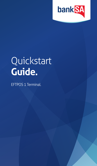

# **Quickstart Guide.**

EFTPOS 1 Terminal.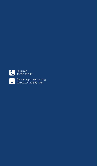

 Call us on 1300 130 190

 Online support and training [banksa.com.au/payments](http://banksa.com.au/payments)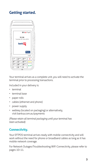## **Getting started.**

|                  | ,,,,,,,,,,,,,,,,              | -------------      |        |  |
|------------------|-------------------------------|--------------------|--------|--|
|                  |                               | ☎8品令॥∃             |        |  |
|                  | 10:38<br>Tuesday 24 June 2014 |                    |        |  |
|                  |                               | bank <sup>SA</sup> |        |  |
|                  |                               |                    | Menu   |  |
|                  |                               |                    | VX 690 |  |
| 120              | $2$ <sup>ABC</sup>            | <b>3DEF</b>        | x      |  |
| 4 <sup>GHI</sup> | <b>5JKL</b>                   | 6 <sup>MNO</sup>   |        |  |
| PRS              | 8 <sup>dfh</sup>              | $9^{WXY}$          |        |  |
| ×.               | - SP<br>C                     | #                  |        |  |

Your terminal arrives as a complete unit, you will need to activate the terminal prior to processing transactions.

Included in your delivery is:

- terminal
- terminal base
- paper rolls
- cables (ethernet and phone)
- power supply
- webkey (located on packaging) or alternatively, visit [banksa.com.au/payments](http://banksa.com.au/payments)

*(Please retain all terminal packaging until your terminal has been activated).*

## **Connectivity.**

Your EFTPOS terminal arrives ready with mobile connectivity and will work without the need for phone or broadband cables as long as it has mobile network coverage.

For Network Outages/Troubleshooting WiFi Connectivity, please refer to pages 10–11.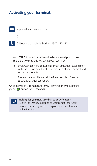## **Activating your terminal.**



Reply to the activation email





Call our Merchant Help Desk on 1300 130 190

- 1. Your EFTPOS 1 terminal will need to be activated prior to use. There are two methods to activate your terminal:
	- i.) Email Activation (if applicable): For fast activation, please refer to the activation email sent upon dispatch of your terminal and follow the prompts.
	- ii.) Phone Activation: Please call the Merchant Help Desk on 1300 130 190 for activation.

Once activation is complete, turn your terminal on by holding the green **button** for 10 seconds.



**Waiting for your new terminal to be activated?**  Plug in the webkey supplied to your computer or visit [banksa.com.au/payments](http://banksa.com.au/payments) to explore your new terminal online training.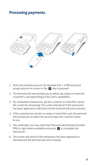### **Processing payments. Processing payments**



- 1. Enter the purchase amount, for example \$45 = 4500 and press 1. Enter the purchase amount, for example \$45 = 4500 and press accept amount on screen or the  $\overline{A}$  key to proceed.
- 2. The terminal will now prompt you to either tap, swipe or insert 2. The terminal will now prompt you to either tap, swipe or insert the customer's card depending on the card's capabilities.
- 3. For contactless transactions, ask the customer to hold their card to 3. For contactless transactions, ask the customer to hold their card to the screen for processing. The screen will advise if the transaction the screen for processing. The screen will advise if the transaction<br>has been approved or declined and the terminal will print a receipt.
- 4. If the customer has chosen to swipe or insert their card, the 4. If the customer has chosen to swipe or insert their card, the terminal will prompt you to select the account type the customer wants to use.
- 5. The cardholder can now enter their Personal Identification (PIN) or sign (where available) and press  $\downarrow$  to complete the transaction. 5. The cardholder can now enter their Personal Identification Number
- 6. The screen will advise if the transaction has been approved or 6. The screen will advise if the transaction has been approved or declined and the terminal will print a receipt. declined and the terminal will print a receipt.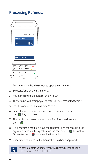## **Processing Refunds.**



- 1. Press menu on the idle screen to open the main menu.
- 2. Select Refund on the main menu.
- 3. Key in the refund amount i.e. \$45 = 4500.
- 4. The terminal will prompt you to enter your Merchant Password.\*
- 5. Insert, swipe or tap the customer's card.
- 6. Select the required account and accept on screen or press the  $\Box$  key to proceed.
- 7. The cardholder can now enter their PIN (if required) and/or press <sup>4</sup>
- 8. If a signature is required, have the customer sign the receipt. If the signature matches the signature on the card select  $\Box$  to confirm. Otherwise press  $\bigtimes$  to cancel the transaction.
- 9. Check receipt to ensure the transaction has been approved.



\*Note: To obtain your Merchant Password, please call the Help Desk on 1300 130 190.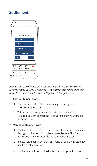## **Settlement.**



*A settlement can only be performed once in a 24-hour period. You will receive a (903) DECLINED response if you attempt settlement more than once. You cannot settle between 9.30pm and 11.00pm (AEST).*

#### 1. **Auto Settlement Process**

- i.) Your terminal will settle automatically every day at a pre-programmed time.
- ii.) This is set up when your facility is first established. If required, you can contact the Help Desk to change your auto settlement time.

#### 2. **Manual Settlement Process**

- i.) You have the option to perform a manual settlement anytime throughout the day prior to the auto settlement. This function allows you to manually settle the current trading day.
- ii.) Initiate settlement from the main menu by selecting Settlement and then select Cutover.
- iii.) The terminal will connect to the bank and begin settlement.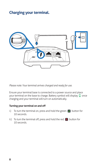## **Charging your terminal.**



*Please note: Your terminal arrives charged and ready for use.*

Ensure your terminal base is connected to a power source and place your terminal on the base to charge. Battery symbol will display  $\Box$  once charging and your terminal will turn on automatically.

#### **Turning your terminal on and off**

- i.) To turn the terminal on, press and hold the green  $\Box$  button for 10 seconds.
- ii.) To turn the terminal off, press and hold the red  $\bigotimes$  button for 10 seconds.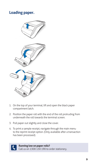## **Loading paper.**



- 1. On the top of your terminal, lift and open the black paper 1. On the top of your terminal, lift and open the black paper compartment latch. compartment latch.
- 2. Position the paper roll with the end of the roll protruding 2. Position the paper roll with the end of the roll protruding from from underneath the roll towards the terminal screen. underneath the roll towards the terminal screen.
- 3. Pull paper out slightly and close the cover. 3. Pull paper out slightly and close the cover.
- 4. To print a sample receipt, navigate through the main menu 4. To print a sample receipt, navigate through the main menu to the reprint receipt option. (Only available after a transaction to the reprint receipt option. (Only available after a transaction has been processed). has been processed).



**Call Running low on paper rolls?** Call us on 1300 130 190 to order stationery.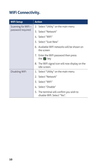## **WiFi Connectivity.**

| <b>WiFi Setup</b>  | <b>Action</b>                                                             |  |
|--------------------|---------------------------------------------------------------------------|--|
| Scanning for WiFi- | 2. Select "Utility" on the main menu                                      |  |
| password required  | 3. Select "Network"                                                       |  |
|                    | 4. Select "WiFi"                                                          |  |
|                    | 5. Select "Scan New"                                                      |  |
|                    | 6. Available WiFi networks will be shown on<br>the screen                 |  |
|                    | 7. Enter the WiFi password then press<br>the $\left\  \cdot \right\ $ key |  |
|                    | 8. The WiFi signal icon will now display on the<br>idle screen.           |  |
| Disabling WiFi     | 1. Select "Utility" on the main menu                                      |  |
|                    | 2. Select "Network"                                                       |  |
|                    | 3. Select "WiFi"                                                          |  |
|                    | 4. Select "Disable"                                                       |  |
|                    | 5. The terminal will confirm you wish to<br>disable Wifi. Select "Yes".   |  |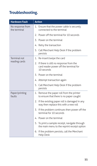## **Troubleshooting.**

| <b>Hardware Fault</b>            | <b>Action</b>                                                                                     |
|----------------------------------|---------------------------------------------------------------------------------------------------|
| No response from<br>the terminal | 1. Ensure that the power cable is securely<br>connected to the terminal                           |
|                                  | 2. Power off the terminal for 10 seconds                                                          |
|                                  | 3. Power on the terminal                                                                          |
|                                  | 4. Retry the transaction                                                                          |
|                                  | 5. Call Merchant Help Desk if the problem<br>persists                                             |
| <b>Terminal not</b>              | 1. Re-insert/swipe the card                                                                       |
| reading cards                    | 2. If there is still no response from the<br>card reader power off the terminal for<br>10 seconds |
|                                  | 3. Power on the terminal                                                                          |
|                                  | 4. Attempt transaction again                                                                      |
|                                  | 5. Call Merchant Help Desk if the problem<br>persists                                             |
| Paper/printing<br>faults         | Remove the paper roll from the printer<br>1.<br>to ensure that there is no paper caught           |
|                                  | 2. If the existing paper roll is damaged in any<br>way then replace this with a new roll          |
|                                  | 3. If the problem continues then power off the<br>terminal for 10 seconds                         |
|                                  | 4. Power on the terminal                                                                          |
|                                  | 5. To print a sample receipt, navigate through<br>the main menu to the reprint receipt option     |
|                                  | If the problem persists, call the Merchant<br>6.<br><b>Help Desk</b>                              |